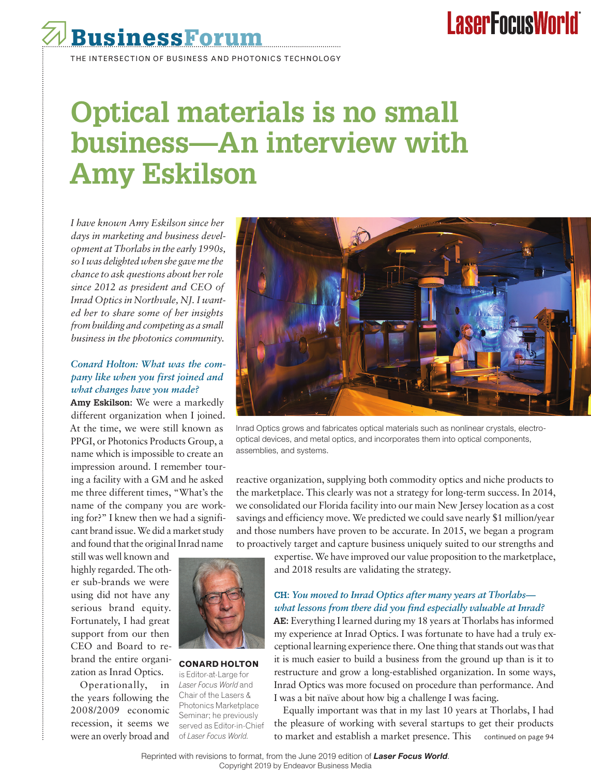# **LaserFocusWorld**



# **Optical materials is no small business—An interview with Amy Eskilson**

*I have known Amy Eskilson since her days in marketing and business development at Thorlabs in the early 1990s, so I was delighted when she gave me the chance to ask questions about her role since 2012 as president and CEO of Inrad Optics in Northvale, NJ. I wanted her to share some of her insights from building and competing as a small business in the photonics community.* 

## *Conard Holton: What was the company like when you first joined and what changes have you made?*

**Amy Eskilson:** We were a markedly different organization when I joined. At the time, we were still known as PPGI, or Photonics Products Group, a name which is impossible to create an impression around. I remember touring a facility with a GM and he asked me three different times, "What's the name of the company you are working for?" I knew then we had a significant brand issue. We did a market study and found that the original Inrad name

still was well known and highly regarded. The other sub-brands we were using did not have any serious brand equity. Fortunately, I had great support from our then CEO and Board to rebrand the entire organization as Inrad Optics.

Operationally, in *Laser Focus World* and the years following the 2008/2009 economic recession, it seems we were an overly broad and



Inrad Optics grows and fabricates optical materials such as nonlinear crystals, electrooptical devices, and metal optics, and incorporates them into optical components, assemblies, and systems.

reactive organization, supplying both commodity optics and niche products to the marketplace. This clearly was not a strategy for long-term success. In 2014, we consolidated our Florida facility into our main New Jersey location as a cost savings and efficiency move. We predicted we could save nearly \$1 million/year and those numbers have proven to be accurate. In 2015, we began a program to proactively target and capture business uniquely suited to our strengths and



**CONARD HOLTON**  is Editor-at-Large for Chair of the Lasers & Photonics Marketplace Seminar; he previously served as Editor-in-Chief of *Laser Focus World*.

expertise. We have improved our value proposition to the marketplace, and 2018 results are validating the strategy.

#### **CH:** *You moved to Inrad Optics after many years at Thorlabs what lessons from there did you find especially valuable at Inrad?*

**AE:** Everything I learned during my 18 years at Thorlabs has informed my experience at Inrad Optics. I was fortunate to have had a truly exceptional learning experience there. One thing that stands out was that it is much easier to build a business from the ground up than is it to restructure and grow a long-established organization. In some ways, Inrad Optics was more focused on procedure than performance. And I was a bit naïve about how big a challenge I was facing.

Equally important was that in my last 10 years at Thorlabs, I had the pleasure of working with several startups to get their products to market and establish a market presence. This continued on page 94